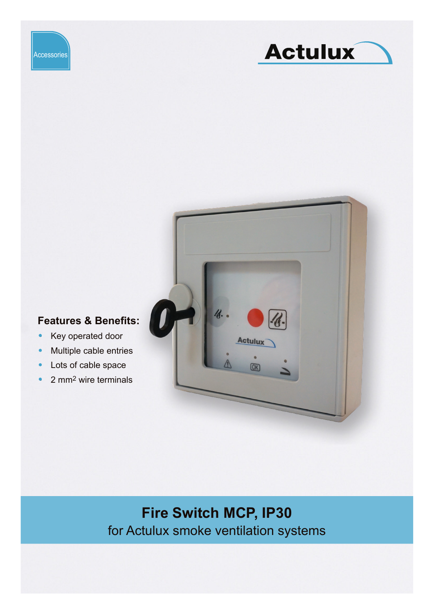





### **Features & Benefits:**

- Key operated door
- Multiple cable entries
- Lots of cable space
- 2 mm<sup>2</sup> wire terminals

# **Fire Switch MCP, IP30** for Actulux smoke ventilation systems